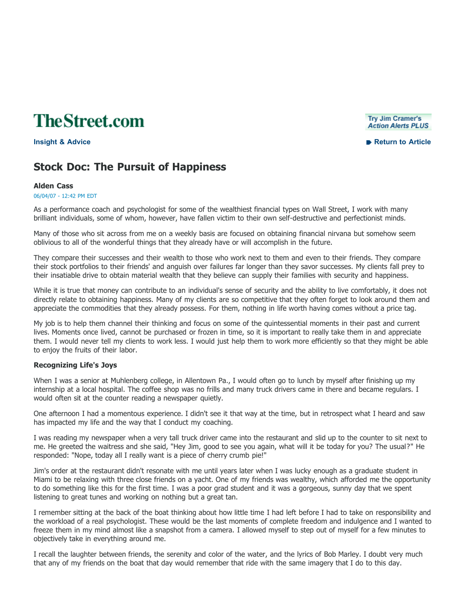**TheStreet.com** 

#### **Try Jim Cramer's Action Alerts PLUS**

**Insight & Advice Return to Article**

# **Stock Doc: The Pursuit of Happiness**

### **Alden Cass**

06/04/07 - 12:42 PM EDT

As a performance coach and psychologist for some of the wealthiest financial types on Wall Street, I work with many brilliant individuals, some of whom, however, have fallen victim to their own self-destructive and perfectionist minds.

Many of those who sit across from me on a weekly basis are focused on obtaining financial nirvana but somehow seem oblivious to all of the wonderful things that they already have or will accomplish in the future.

They compare their successes and their wealth to those who work next to them and even to their friends. They compare their stock portfolios to their friends' and anguish over failures far longer than they savor successes. My clients fall prey to their insatiable drive to obtain material wealth that they believe can supply their families with security and happiness.

While it is true that money can contribute to an individual's sense of security and the ability to live comfortably, it does not directly relate to obtaining happiness. Many of my clients are so competitive that they often forget to look around them and appreciate the commodities that they already possess. For them, nothing in life worth having comes without a price tag.

My job is to help them channel their thinking and focus on some of the quintessential moments in their past and current lives. Moments once lived, cannot be purchased or frozen in time, so it is important to really take them in and appreciate them. I would never tell my clients to work less. I would just help them to work more efficiently so that they might be able to enjoy the fruits of their labor.

## **Recognizing Life's Joys**

When I was a senior at Muhlenberg college, in Allentown Pa., I would often go to lunch by myself after finishing up my internship at a local hospital. The coffee shop was no frills and many truck drivers came in there and became regulars. I would often sit at the counter reading a newspaper quietly.

One afternoon I had a momentous experience. I didn't see it that way at the time, but in retrospect what I heard and saw has impacted my life and the way that I conduct my coaching.

I was reading my newspaper when a very tall truck driver came into the restaurant and slid up to the counter to sit next to me. He greeted the waitress and she said, "Hey Jim, good to see you again, what will it be today for you? The usual?" He responded: "Nope, today all I really want is a piece of cherry crumb pie!"

Jim's order at the restaurant didn't resonate with me until years later when I was lucky enough as a graduate student in Miami to be relaxing with three close friends on a yacht. One of my friends was wealthy, which afforded me the opportunity to do something like this for the first time. I was a poor grad student and it was a gorgeous, sunny day that we spent listening to great tunes and working on nothing but a great tan.

I remember sitting at the back of the boat thinking about how little time I had left before I had to take on responsibility and the workload of a real psychologist. These would be the last moments of complete freedom and indulgence and I wanted to freeze them in my mind almost like a snapshot from a camera. I allowed myself to step out of myself for a few minutes to objectively take in everything around me.

I recall the laughter between friends, the serenity and color of the water, and the lyrics of Bob Marley. I doubt very much that any of my friends on the boat that day would remember that ride with the same imagery that I do to this day.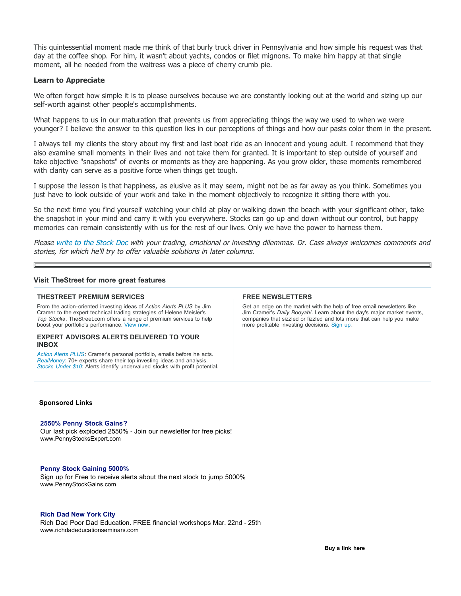This quintessential moment made me think of that burly truck driver in Pennsylvania and how simple his request was that day at the coffee shop. For him, it wasn't about yachts, condos or filet mignons. To make him happy at that single moment, all he needed from the waitress was a piece of cherry crumb pie.

## **Learn to Appreciate**

We often forget how simple it is to please ourselves because we are constantly looking out at the world and sizing up our self-worth against other people's accomplishments.

What happens to us in our maturation that prevents us from appreciating things the way we used to when we were younger? I believe the answer to this question lies in our perceptions of things and how our pasts color them in the present.

I always tell my clients the story about my first and last boat ride as an innocent and young adult. I recommend that they also examine small moments in their lives and not take them for granted. It is important to step outside of yourself and take objective "snapshots" of events or moments as they are happening. As you grow older, these moments remembered with clarity can serve as a positive force when things get tough.

I suppose the lesson is that happiness, as elusive as it may seem, might not be as far away as you think. Sometimes you just have to look outside of your work and take in the moment objectively to recognize it sitting there with you.

So the next time you find yourself watching your child at play or walking down the beach with your significant other, take the snapshot in your mind and carry it with you everywhere. Stocks can go up and down without our control, but happy memories can remain consistently with us for the rest of our lives. Only we have the power to harness them.

Please write to the Stock Doc with your trading, emotional or investing dilemmas. Dr. Cass always welcomes comments and stories, for which he'll try to offer valuable solutions in later columns.

#### **Visit TheStreet for more great features**

#### **THESTREET PREMIUM SERVICES**

From the action-oriented investing ideas of *Action Alerts PLUS* by Jim Cramer to the expert technical trading strategies of Helene Meisler's *Top Stocks*, TheStreet.com offers a range of premium services to help boost your portfolio's performance. View now.

#### **EXPERT ADVISORS ALERTS DELIVERED TO YOUR INBOX**

*Action Alerts PLUS*: Cramer's personal portfolio, emails before he acts. *RealMoney*: 70+ experts share their top investing ideas and analysis. *Stocks Under \$10*: Alerts identify undervalued stocks with profit potential.

#### **FREE NEWSLETTERS**

Get an edge on the market with the help of free email newsletters like Jim Cramer's *Daily Booyah!*. Learn about the day's major market events, companies that sizzled or fizzled and lots more that can help you make more profitable investing decisions. Sign up.

#### **Sponsored Links**

#### **2550% Penny Stock Gains?**

Our last pick exploded 2550% - Join our newsletter for free picks! www.PennyStocksExpert.com

#### **Penny Stock Gaining 5000%**

Sign up for Free to receive alerts about the next stock to jump 5000% www.PennyStockGains.com

#### **Rich Dad New York City**

Rich Dad Poor Dad Education. FREE financial workshops Mar. 22nd - 25th www.richdadeducationseminars.com